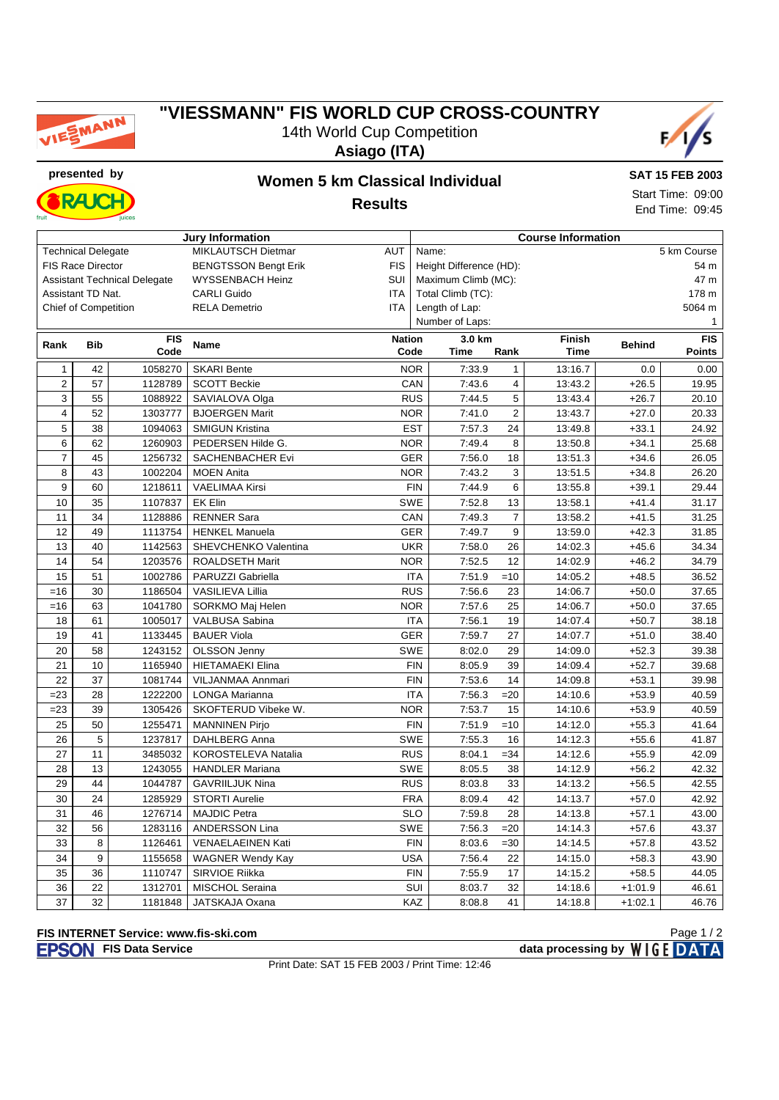

## **"VIESSMANN" FIS WORLD CUP CROSS-COUNTRY** 14th World Cup Competition

**Asiago (ITA)**



**presented by Women 5 km Classical Individual RAK** 

**SAT 15 FEB 2003** Start Time: 09:00 End Time: 09:45

**Results**

|                          | juices                      |                                     |                             |               |                           |                      |                         |               |               |               |  |
|--------------------------|-----------------------------|-------------------------------------|-----------------------------|---------------|---------------------------|----------------------|-------------------------|---------------|---------------|---------------|--|
| <b>Jury Information</b>  |                             |                                     |                             |               | <b>Course Information</b> |                      |                         |               |               |               |  |
|                          | <b>Technical Delegate</b>   |                                     | MIKLAUTSCH Dietmar          | <b>AUT</b>    |                           | 5 km Course<br>Name: |                         |               |               |               |  |
| <b>FIS Race Director</b> |                             |                                     | <b>BENGTSSON Bengt Erik</b> | <b>FIS</b>    | Height Difference (HD):   |                      |                         |               |               | 54 m          |  |
|                          |                             | <b>Assistant Technical Delegate</b> | <b>WYSSENBACH Heinz</b>     | SUI           |                           | Maximum Climb (MC):  |                         |               | 47 m          |               |  |
|                          | Assistant TD Nat.           |                                     | <b>CARLI Guido</b>          | <b>ITA</b>    | Total Climb (TC):         |                      |                         |               |               | 178 m         |  |
|                          | <b>Chief of Competition</b> |                                     | <b>RELA Demetrio</b>        | <b>ITA</b>    |                           | Length of Lap:       |                         |               |               | 5064 m        |  |
|                          |                             |                                     |                             |               |                           | Number of Laps:      |                         |               |               | 1             |  |
| Rank                     | <b>Bib</b>                  | <b>FIS</b>                          | <b>Name</b>                 | <b>Nation</b> |                           | 3.0 km               |                         | <b>Finish</b> | <b>Behind</b> | <b>FIS</b>    |  |
|                          |                             | Code                                |                             | Code          | <b>Time</b><br>Rank       |                      |                         | <b>Time</b>   |               | <b>Points</b> |  |
| $\mathbf{1}$             | 42                          | 1058270                             | <b>SKARI Bente</b>          |               | <b>NOR</b>                | 7:33.9               | $\mathbf{1}$            | 13:16.7       | 0.0           | 0.00          |  |
| $\overline{2}$           | 57                          | 1128789                             | <b>SCOTT Beckie</b>         |               | CAN                       | 7:43.6               | $\overline{\mathbf{4}}$ | 13:43.2       | $+26.5$       | 19.95         |  |
| 3                        | 55                          | 1088922                             | SAVIALOVA Olga              |               | <b>RUS</b>                | 7:44.5               | 5                       | 13:43.4       | $+26.7$       | 20.10         |  |
| $\overline{\mathbf{4}}$  | 52                          | 1303777                             | <b>BJOERGEN Marit</b>       |               | <b>NOR</b>                | 7:41.0               | $\overline{c}$          | 13:43.7       | $+27.0$       | 20.33         |  |
| 5                        | 38                          | 1094063                             | <b>SMIGUN Kristina</b>      |               | <b>EST</b>                | 7:57.3               | 24                      | 13:49.8       | $+33.1$       | 24.92         |  |
| 6                        | 62                          | 1260903                             | PEDERSEN Hilde G.           |               | <b>NOR</b>                | 7:49.4               | 8                       | 13:50.8       | $+34.1$       | 25.68         |  |
| $\overline{7}$           | 45                          | 1256732                             | SACHENBACHER Evi            |               | <b>GER</b>                | 7:56.0               | 18                      | 13:51.3       | $+34.6$       | 26.05         |  |
| 8                        | 43                          | 1002204                             | <b>MOEN Anita</b>           |               | <b>NOR</b>                | 7:43.2               | 3                       | 13:51.5       | $+34.8$       | 26.20         |  |
| 9                        | 60                          | 1218611                             | <b>VAELIMAA Kirsi</b>       |               | <b>FIN</b>                | 7:44.9               | 6                       | 13:55.8       | $+39.1$       | 29.44         |  |
| 10                       | 35                          | 1107837                             | <b>EK Elin</b>              |               | <b>SWE</b>                | 7:52.8               | 13                      | 13:58.1       | $+41.4$       | 31.17         |  |
| 11                       | 34                          | 1128886                             | <b>RENNER Sara</b>          |               | CAN                       | 7:49.3               | $\overline{7}$          | 13:58.2       | $+41.5$       | 31.25         |  |
| 12                       | 49                          | 1113754                             | <b>HENKEL Manuela</b>       |               | <b>GER</b>                | 7:49.7               | 9                       | 13:59.0       | $+42.3$       | 31.85         |  |
| 13                       | 40                          | 1142563                             | SHEVCHENKO Valentina        |               | <b>UKR</b>                | 7:58.0               | 26                      | 14:02.3       | $+45.6$       | 34.34         |  |
| 14                       | 54                          | 1203576                             | ROALDSETH Marit             |               | <b>NOR</b>                | 7:52.5               | 12                      | 14:02.9       | $+46.2$       | 34.79         |  |
| 15                       | 51                          | 1002786                             | PARUZZI Gabriella           |               | <b>ITA</b>                | 7:51.9               | $=10$                   | 14:05.2       | $+48.5$       | 36.52         |  |
| $=16$                    | 30                          | 1186504                             | <b>VASILIEVA Lillia</b>     |               | <b>RUS</b>                | 7:56.6               | 23                      | 14:06.7       | $+50.0$       | 37.65         |  |
| $=16$                    | 63                          | 1041780                             | SORKMO Maj Helen            |               | <b>NOR</b>                | 7:57.6               | 25                      | 14:06.7       | $+50.0$       | 37.65         |  |
| 18                       | 61                          | 1005017                             | VALBUSA Sabina              |               | <b>ITA</b>                | 7:56.1               | 19                      | 14:07.4       | $+50.7$       | 38.18         |  |
| 19                       | 41                          | 1133445                             | <b>BAUER Viola</b>          |               | <b>GER</b>                | 7:59.7               | 27                      | 14:07.7       | $+51.0$       | 38.40         |  |
| 20                       | 58                          | 1243152                             | <b>OLSSON Jenny</b>         |               | <b>SWE</b>                | 8:02.0               | 29                      | 14:09.0       | $+52.3$       | 39.38         |  |
| 21                       | 10                          | 1165940                             | <b>HIETAMAEKI Elina</b>     |               | <b>FIN</b>                | 8:05.9               | 39                      | 14:09.4       | $+52.7$       | 39.68         |  |
| 22                       | 37                          | 1081744                             | VILJANMAA Annmari           |               | <b>FIN</b>                | 7:53.6               | 14                      | 14:09.8       | $+53.1$       | 39.98         |  |
| $= 23$                   | 28                          | 1222200                             | LONGA Marianna              |               | <b>ITA</b>                | 7:56.3               | $=20$                   | 14:10.6       | $+53.9$       | 40.59         |  |
| $= 23$                   | 39                          | 1305426                             | SKOFTERUD Vibeke W.         |               | <b>NOR</b>                | 7:53.7               | 15                      | 14:10.6       | $+53.9$       | 40.59         |  |
| 25                       | 50                          | 1255471                             | <b>MANNINEN Pirjo</b>       |               | <b>FIN</b>                | 7:51.9               | $=10$                   | 14:12.0       | $+55.3$       | 41.64         |  |
| 26                       | 5                           | 1237817                             | <b>DAHLBERG Anna</b>        |               | <b>SWE</b>                | 7:55.3               | 16                      | 14:12.3       | $+55.6$       | 41.87         |  |
| 27                       | 11                          | 3485032                             | KOROSTELEVA Natalia         |               | <b>RUS</b>                | 8:04.1               | $=34$                   | 14:12.6       | $+55.9$       | 42.09         |  |
| 28                       | 13                          | 1243055                             | <b>HANDLER Mariana</b>      | <b>SWE</b>    |                           | 8:05.5               | 38                      | 14:12.9       | $+56.2$       | 42.32         |  |
| 29                       | 44                          | 1044787                             | <b>GAVRIILJUK Nina</b>      |               | <b>RUS</b>                | 8:03.8               | 33                      | 14:13.2       | $+56.5$       | 42.55         |  |
| 30                       | 24                          | 1285929                             | <b>STORTI Aurelie</b>       |               | <b>FRA</b>                | 8:09.4               | 42                      | 14:13.7       | $+57.0$       | 42.92         |  |
| 31                       | 46                          | 1276714                             | <b>MAJDIC Petra</b>         |               | <b>SLO</b>                | 7:59.8               | 28                      | 14:13.8       | $+57.1$       | 43.00         |  |
| 32                       | 56                          | 1283116                             | <b>ANDERSSON Lina</b>       | <b>SWE</b>    |                           | 7:56.3               | $=20$                   | 14:14.3       | $+57.6$       | 43.37         |  |
| 33                       | 8                           | 1126461                             | <b>VENAELAEINEN Kati</b>    |               | <b>FIN</b>                | 8:03.6               | $=30$                   | 14:14.5       | $+57.8$       | 43.52         |  |
| 34                       | 9                           | 1155658                             | <b>WAGNER Wendy Kay</b>     |               | <b>USA</b>                | 7:56.4               | 22                      | 14:15.0       | $+58.3$       | 43.90         |  |

# **FIS INTERNET Service: www.fis-ski.com**

Print Date: SAT 15 FEB 2003 / Print Time: 12:46

35 36 1110747 SIRVIOE Riikka FIN 7:55.9 17 14:15.2 +58.5 44.05 36 22 1312701 MISCHOL Seraina SUI 8:03.7 32 14:18.6 +1:01.9 46.61 37 32 1181848 JATSKAJA Oxana KAZ 8:08.8 41 14:18.8 +1:02.1 46.76

> **Rata processing by WIGE DATA** Page 1 / 2